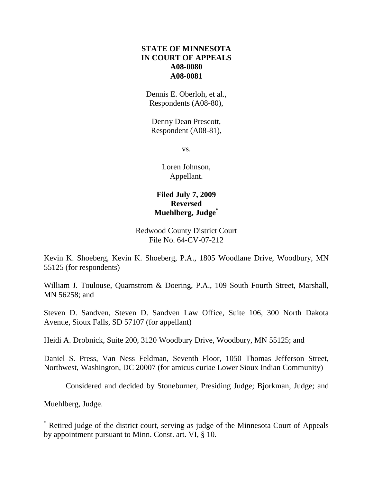## **STATE OF MINNESOTA IN COURT OF APPEALS A08-0080 A08-0081**

Dennis E. Oberloh, et al., Respondents (A08-80),

Denny Dean Prescott, Respondent (A08-81),

vs.

Loren Johnson, Appellant.

# **Filed July 7, 2009 Reversed Muehlberg, Judge\***

## Redwood County District Court File No. 64-CV-07-212

Kevin K. Shoeberg, Kevin K. Shoeberg, P.A., 1805 Woodlane Drive, Woodbury, MN 55125 (for respondents)

William J. Toulouse, Quarnstrom & Doering, P.A., 109 South Fourth Street, Marshall, MN 56258; and

Steven D. Sandven, Steven D. Sandven Law Office, Suite 106, 300 North Dakota Avenue, Sioux Falls, SD 57107 (for appellant)

Heidi A. Drobnick, Suite 200, 3120 Woodbury Drive, Woodbury, MN 55125; and

Daniel S. Press, Van Ness Feldman, Seventh Floor, 1050 Thomas Jefferson Street, Northwest, Washington, DC 20007 (for amicus curiae Lower Sioux Indian Community)

Considered and decided by Stoneburner, Presiding Judge; Bjorkman, Judge; and

Muehlberg, Judge.

 $\overline{a}$ 

<sup>\*</sup> Retired judge of the district court, serving as judge of the Minnesota Court of Appeals by appointment pursuant to Minn. Const. art. VI, § 10.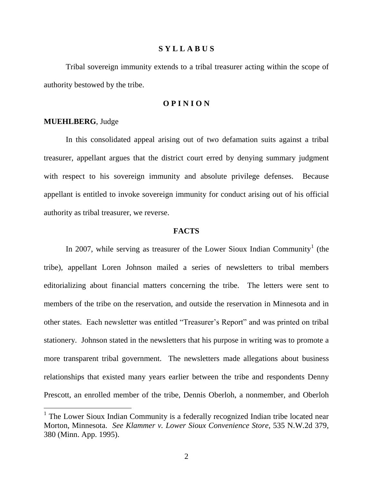#### **S Y L L A B U S**

Tribal sovereign immunity extends to a tribal treasurer acting within the scope of authority bestowed by the tribe.

### **O P I N I O N**

#### **MUEHLBERG**, Judge

In this consolidated appeal arising out of two defamation suits against a tribal treasurer, appellant argues that the district court erred by denying summary judgment with respect to his sovereign immunity and absolute privilege defenses. Because appellant is entitled to invoke sovereign immunity for conduct arising out of his official authority as tribal treasurer, we reverse.

#### **FACTS**

In 2007, while serving as treasurer of the Lower Sioux Indian Community<sup>1</sup> (the tribe), appellant Loren Johnson mailed a series of newsletters to tribal members editorializing about financial matters concerning the tribe. The letters were sent to members of the tribe on the reservation, and outside the reservation in Minnesota and in other states. Each newsletter was entitled "Treasurer's Report" and was printed on tribal stationery. Johnson stated in the newsletters that his purpose in writing was to promote a more transparent tribal government. The newsletters made allegations about business relationships that existed many years earlier between the tribe and respondents Denny Prescott, an enrolled member of the tribe, Dennis Oberloh, a nonmember, and Oberloh

<sup>&</sup>lt;sup>1</sup> The Lower Sioux Indian Community is a federally recognized Indian tribe located near Morton, Minnesota. *See Klammer v. Lower Sioux Convenience Store*, 535 N.W.2d 379, 380 (Minn. App. 1995).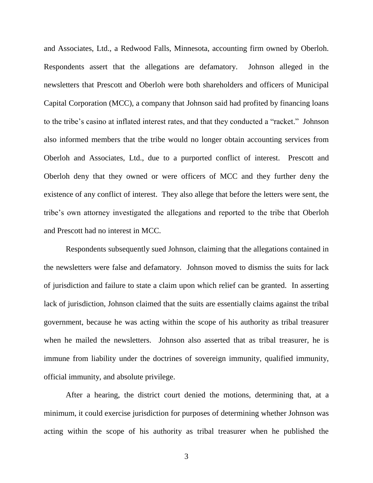and Associates, Ltd., a Redwood Falls, Minnesota, accounting firm owned by Oberloh. Respondents assert that the allegations are defamatory. Johnson alleged in the newsletters that Prescott and Oberloh were both shareholders and officers of Municipal Capital Corporation (MCC), a company that Johnson said had profited by financing loans to the tribe's casino at inflated interest rates, and that they conducted a "racket." Johnson also informed members that the tribe would no longer obtain accounting services from Oberloh and Associates, Ltd., due to a purported conflict of interest. Prescott and Oberloh deny that they owned or were officers of MCC and they further deny the existence of any conflict of interest. They also allege that before the letters were sent, the tribe's own attorney investigated the allegations and reported to the tribe that Oberloh and Prescott had no interest in MCC.

Respondents subsequently sued Johnson, claiming that the allegations contained in the newsletters were false and defamatory. Johnson moved to dismiss the suits for lack of jurisdiction and failure to state a claim upon which relief can be granted. In asserting lack of jurisdiction, Johnson claimed that the suits are essentially claims against the tribal government, because he was acting within the scope of his authority as tribal treasurer when he mailed the newsletters. Johnson also asserted that as tribal treasurer, he is immune from liability under the doctrines of sovereign immunity, qualified immunity, official immunity, and absolute privilege.

After a hearing, the district court denied the motions, determining that, at a minimum, it could exercise jurisdiction for purposes of determining whether Johnson was acting within the scope of his authority as tribal treasurer when he published the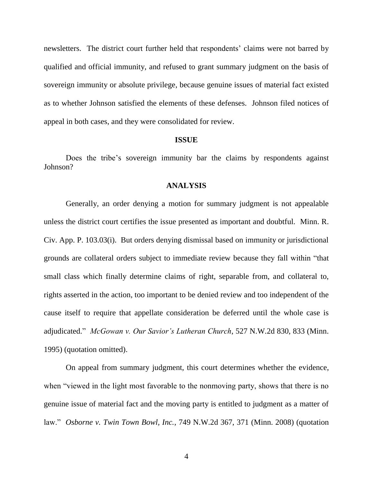newsletters. The district court further held that respondents' claims were not barred by qualified and official immunity, and refused to grant summary judgment on the basis of sovereign immunity or absolute privilege, because genuine issues of material fact existed as to whether Johnson satisfied the elements of these defenses. Johnson filed notices of appeal in both cases, and they were consolidated for review.

#### **ISSUE**

Does the tribe's sovereign immunity bar the claims by respondents against Johnson?

#### **ANALYSIS**

Generally, an order denying a motion for summary judgment is not appealable unless the district court certifies the issue presented as important and doubtful. [Minn.](http://web2.westlaw.com/find/default.wl?vc=0&ordoc=2000029551&rp=%2ffind%2fdefault.wl&DB=1000044&DocName=MNSTCIVAPR103%2E03&FindType=L&AP=&fn=_top&rs=WLW9.03&pbc=31CC4FC9&ifm=NotSet&mt=59&vr=2.0&sv=Split) R. Civ. App. P. [103.03\(](http://web2.westlaw.com/find/default.wl?vc=0&ordoc=2000029551&rp=%2ffind%2fdefault.wl&DB=1000044&DocName=MNSTCIVAPR103%2E03&FindType=L&AP=&fn=_top&rs=WLW9.03&pbc=31CC4FC9&ifm=NotSet&mt=59&vr=2.0&sv=Split)i). But orders denying dismissal based on immunity or jurisdictional grounds are collateral orders subject to immediate review because they fall within "that small class which finally determine claims of right, separable from, and collateral to, rights asserted in the action, too important to be denied review and too independent of the cause itself to require that appellate consideration be deferred until the whole case is adjudicated." *McGowan v. Our Savior's Lutheran Church*, 527 N.W.2d 830, 833 (Minn. 1995) (quotation omitted).

On appeal from summary judgment, this court determines whether the evidence, when "viewed in the light most favorable to the nonmoving party, shows that there is no genuine issue of material fact and the moving party is entitled to judgment as a matter of law." *[Osborne v. Twin Town Bowl, Inc.](http://web2.westlaw.com/find/default.wl?tf=-1&serialnum=2016220952&rs=WLW9.03&referencepositiontype=S&ifm=NotSet&fn=_top&sv=Split&referenceposition=371&pbc=EAE81F81&tc=-1&ordoc=2018418989&findtype=Y&db=595&vr=2.0&rp=%2ffind%2fdefault.wl&mt=59)*, 749 N.W.2d 367, 371 (Minn. 2008) (quotation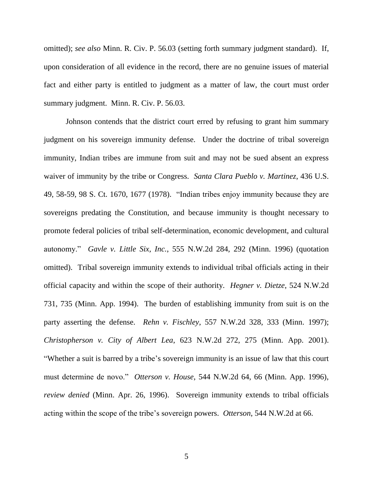omitted); *see also* [Minn. R. Civ. P. 56.03](http://web2.westlaw.com/find/default.wl?tf=-1&rs=WLW9.03&ifm=NotSet&fn=_top&sv=Split&docname=MNSTRCPR56.03&tc=-1&pbc=EAE81F81&ordoc=2018418989&findtype=L&db=1000044&vr=2.0&rp=%2ffind%2fdefault.wl&mt=59) (setting forth summary judgment standard). If, upon consideration of all evidence in the record, there are no genuine issues of material fact and either party is entitled to judgment as a matter of law, the court must order summary judgment. Minn. R. Civ. P. 56.03.

Johnson contends that the district court erred by refusing to grant him summary judgment on his sovereign immunity defense. Under the doctrine of tribal sovereign immunity, Indian tribes are immune from suit and may not be sued absent an express waiver of immunity by the tribe or Congress. *[Santa Clara Pueblo v. Martinez](http://web2.westlaw.com/find/default.wl?vc=0&ordoc=2000029551&rp=%2ffind%2fdefault.wl&DB=708&SerialNum=1978114228&FindType=Y&ReferencePositionType=S&ReferencePosition=1677&AP=&fn=_top&rs=WLW9.03&pbc=F45E78BD&ifm=NotSet&mt=59&vr=2.0&sv=Split)*, 436 U.S. [49, 58-59, 98 S.](http://web2.westlaw.com/find/default.wl?vc=0&ordoc=2000029551&rp=%2ffind%2fdefault.wl&DB=708&SerialNum=1978114228&FindType=Y&ReferencePositionType=S&ReferencePosition=1677&AP=&fn=_top&rs=WLW9.03&pbc=F45E78BD&ifm=NotSet&mt=59&vr=2.0&sv=Split) Ct. 1670, 1677 (1978). "Indian tribes enjoy immunity because they are sovereigns predating the Constitution, and because immunity is thought necessary to promote federal policies of tribal self-determination, economic development, and cultural autonomy." *Gavle v. Little Six, Inc.*, 555 N.W.2d 284, 292 (Minn. 1996) (quotation omitted). Tribal sovereign immunity extends to individual tribal officials acting in their official capacity and within the scope of their authority. *[Hegner v. Dietze](http://web2.westlaw.com/find/default.wl?vc=0&ordoc=2000029551&rp=%2ffind%2fdefault.wl&DB=595&SerialNum=1994244805&FindType=Y&ReferencePositionType=S&ReferencePosition=735&AP=&fn=_top&rs=WLW9.03&pbc=F45E78BD&ifm=NotSet&mt=59&vr=2.0&sv=Split)*, 524 N.W.2d [731, 735 \(Minn.](http://web2.westlaw.com/find/default.wl?vc=0&ordoc=2000029551&rp=%2ffind%2fdefault.wl&DB=595&SerialNum=1994244805&FindType=Y&ReferencePositionType=S&ReferencePosition=735&AP=&fn=_top&rs=WLW9.03&pbc=F45E78BD&ifm=NotSet&mt=59&vr=2.0&sv=Split) App. 1994). The burden of establishing immunity from suit is on the party asserting the defense. *Rehn v. Fischley*[, 557 N.W.2d 328, 333 \(Minn.](http://web2.westlaw.com/find/default.wl?tf=-1&serialnum=1997022836&rs=WLW9.03&referencepositiontype=S&ifm=NotSet&fn=_top&sv=Split&referenceposition=333&pbc=53DA4320&tc=-1&ordoc=2012714758&findtype=Y&db=595&vr=2.0&rp=%2ffind%2fdefault.wl&mt=59) 1997); *[Christopherson v. City of Albert Lea](http://web2.westlaw.com/find/default.wl?tf=-1&serialnum=2001210068&rs=WLW9.03&referencepositiontype=S&ifm=NotSet&fn=_top&sv=Split&referenceposition=275&pbc=B05E0642&tc=-1&ordoc=2012763475&findtype=Y&db=595&vr=2.0&rp=%2ffind%2fdefault.wl&mt=59)*, 623 N.W.2d 272, 275 (Minn. App. 2001). "Whether a suit is barred by a tribe's sovereign immunity is an issue of law that this court must determine de novo." *Otterson v. House*, 544 N.W.2d 64, 66 (Minn. App. 1996), *review denied* (Minn. Apr. 26, 1996). Sovereign immunity extends to tribal officials acting within the scope of the tribe's sovereign powers. *Otterson*, 544 N.W.2d at 66.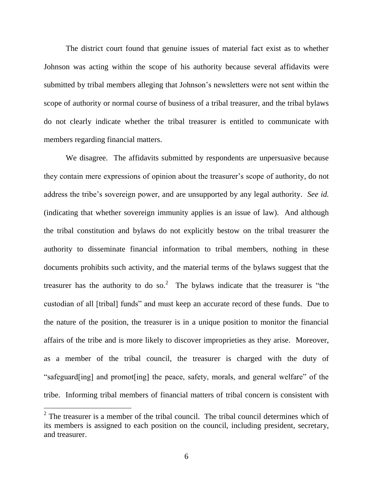The district court found that genuine issues of material fact exist as to whether Johnson was acting within the scope of his authority because several affidavits were submitted by tribal members alleging that Johnson's newsletters were not sent within the scope of authority or normal course of business of a tribal treasurer, and the tribal bylaws do not clearly indicate whether the tribal treasurer is entitled to communicate with members regarding financial matters.

We disagree. The affidavits submitted by respondents are unpersuasive because they contain mere expressions of opinion about the treasurer's scope of authority, do not address the tribe's sovereign power, and are unsupported by any legal authority. *See id.* (indicating that whether sovereign immunity applies is an issue of law). And although the tribal constitution and bylaws do not explicitly bestow on the tribal treasurer the authority to disseminate financial information to tribal members, nothing in these documents prohibits such activity, and the material terms of the bylaws suggest that the treasurer has the authority to do so.<sup>2</sup> The bylaws indicate that the treasurer is "the custodian of all [tribal] funds" and must keep an accurate record of these funds. Due to the nature of the position, the treasurer is in a unique position to monitor the financial affairs of the tribe and is more likely to discover improprieties as they arise. Moreover, as a member of the tribal council, the treasurer is charged with the duty of "safeguard[ing] and promot[ing] the peace, safety, morals, and general welfare" of the tribe. Informing tribal members of financial matters of tribal concern is consistent with

 $2^2$  The treasurer is a member of the tribal council. The tribal council determines which of its members is assigned to each position on the council, including president, secretary, and treasurer.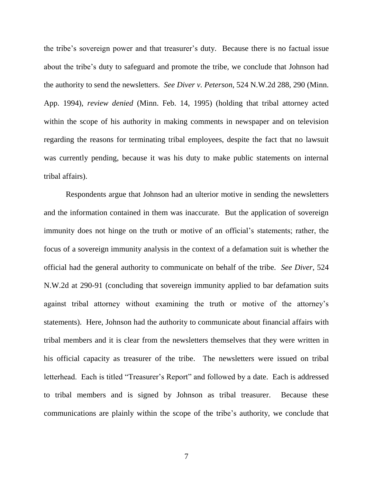the tribe's sovereign power and that treasurer's duty. Because there is no factual issue about the tribe's duty to safeguard and promote the tribe, we conclude that Johnson had the authority to send the newsletters. *See Diver v. Peterson*, 524 N.W.2d 288, 290 (Minn. App. 1994), *review denied* (Minn. Feb. 14, 1995) (holding that tribal attorney acted within the scope of his authority in making comments in newspaper and on television regarding the reasons for terminating tribal employees, despite the fact that no lawsuit was currently pending, because it was his duty to make public statements on internal tribal affairs).

Respondents argue that Johnson had an ulterior motive in sending the newsletters and the information contained in them was inaccurate. But the application of sovereign immunity does not hinge on the truth or motive of an official's statements; rather, the focus of a sovereign immunity analysis in the context of a defamation suit is whether the official had the general authority to communicate on behalf of the tribe. *See Diver*, 524 N.W.2d at 290-91 (concluding that sovereign immunity applied to bar defamation suits against tribal attorney without examining the truth or motive of the attorney's statements). Here, Johnson had the authority to communicate about financial affairs with tribal members and it is clear from the newsletters themselves that they were written in his official capacity as treasurer of the tribe. The newsletters were issued on tribal letterhead. Each is titled "Treasurer's Report" and followed by a date. Each is addressed to tribal members and is signed by Johnson as tribal treasurer. Because these communications are plainly within the scope of the tribe's authority, we conclude that